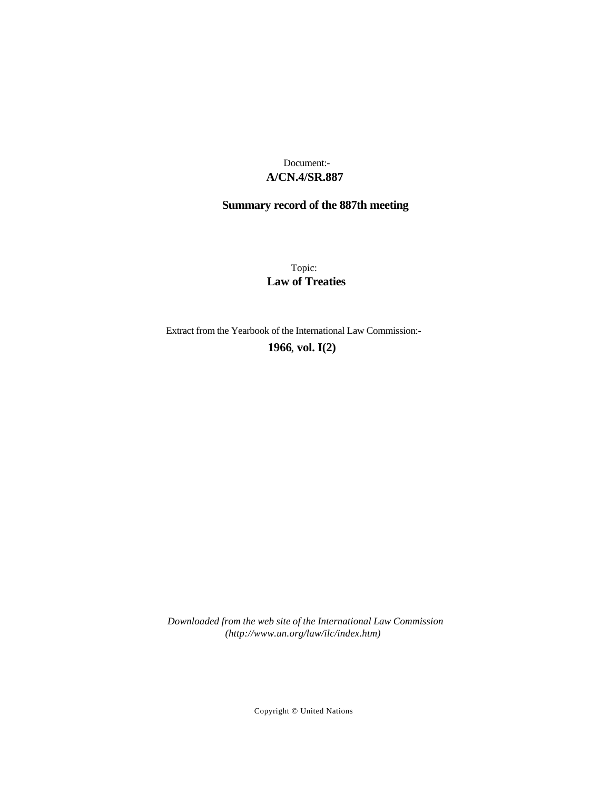## **A/CN.4/SR.887** Document:-

# **Summary record of the 887th meeting**

Topic: **Law of Treaties**

Extract from the Yearbook of the International Law Commission:-

**1966** , **vol. I(2)**

*Downloaded from the web site of the International Law Commission (http://www.un.org/law/ilc/index.htm)*

Copyright © United Nations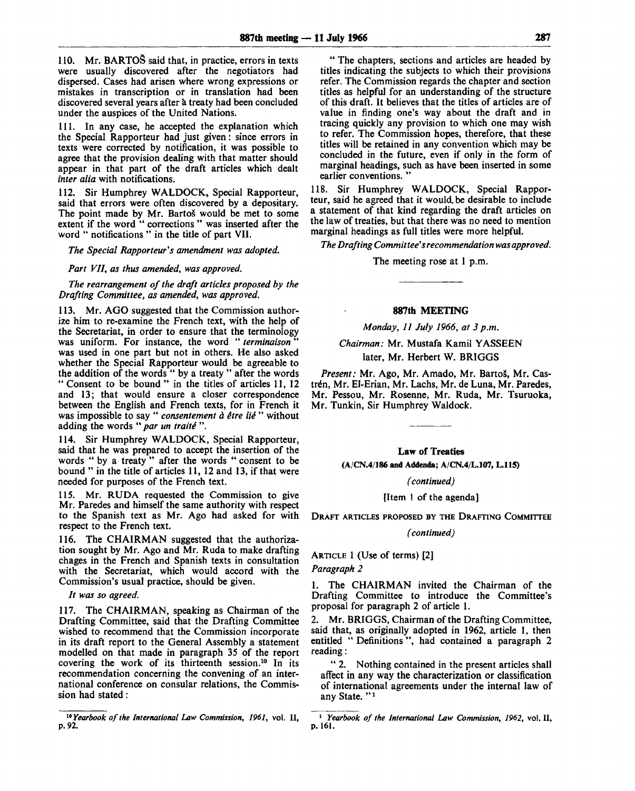110. Mr. BARTOS said that, in practice, errors in texts were usually discovered after the negotiators had dispersed. Cases had arisen where wrong expressions or mistakes in transcription or in translation had been discovered several years after a treaty had been concluded under the auspices of the United Nations.

111. In any case, he accepted the explanation which the Special Rapporteur had just given: since errors in texts were corrected by notification, it was possible to agree that the provision dealing with that matter should appear in that part of the draft articles which dealt *inter alia* with notifications.

112. Sir Humphrey WALDOCK, Special Rapporteur, said that errors were often discovered by a depositary. The point made by Mr. Bartoš would be met to some extent if the word " corrections " was inserted after the word " notifications " in the title of part VII.

*The Special Rapporteur's amendment was adopted.*

*Part VII, as thus amended, was approved.*

*The rearrangement of the draft articles proposed by the Drafting Committee, as amended, was approved.*

113. Mr. AGO suggested that the Commission authorize him to re-examine the French text, with the help of the Secretariat, in order to ensure that the terminology was uniform. For instance, the word "terminaison" was used in one part but not in others. He also asked whether the Special Rapporteur would be agreeable to the addition of the words " by a treaty " after the words " Consent to be bound " in the titles of articles 11, 12 and 13; that would ensure a closer correspondence between the English and French texts, for in French it was impossible to say " *consentement a etre lie* " without adding the words " par un traité ".

114. Sir Humphrey WALDOCK, Special Rapporteur, said that he was prepared to accept the insertion of the words " by a treaty" after the words " consent to be bound " in the title of articles 11, 12 and 13, if that were needed for purposes of the French text.

115. Mr. RUDA requested the Commission to give Mr. Paredes and himself the same authority with respect to the Spanish text as Mr. Ago had asked for with respect to the French text.

116. The CHAIRMAN suggested that the authorization sought by Mr. Ago and Mr. Ruda to make drafting chages in the French and Spanish texts in consultation with the Secretariat, which would accord with the Commission's usual practice, should be given.

// *was so agreed.*

117. The CHAIRMAN, speaking as Chairman of the Drafting Committee, said that the Drafting Committee wished to recommend that the Commission incorporate in its draft report to the General Assembly a statement modelled on that made in paragraph 35 of the report covering the work of its thirteenth session.<sup>10</sup> In its recommendation concerning the convening of an international conference on consular relations, the Commission had stated:

" The chapters, sections and articles are headed by titles indicating the subjects to which their provisions refer. The Commission regards the chapter and section titles as helpful for an understanding of the structure of this draft. It believes that the titles of articles are of value in finding one's way about the draft and in tracing quickly any provision to which one may wish to refer. The Commission hopes, therefore, that these titles will be retained in any convention which may be concluded in the future, even if only in the form of marginal headings, such as have been inserted in some earlier conventions.'

118. Sir Humphrey WALDOCK, Special Rapporteur, said he agreed that it would be desirable to include a statement of that kind regarding the draft articles on the law of treaties, but that there was no need to mention marginal headings as full titles were more helpful.

*The Drafting Committee's recommendation was approved.*

The meeting rose at 1 p.m.

#### **887th** MEETING

*Monday, 11 July 1966, at 3 p.m.*

### *Chairman:* Mr. Mustafa Kamil YASSEEN later, Mr. Herbert W. BRIGGS

*Present:* Mr. Ago, Mr. Amado, Mr. BartoS, Mr. Castrén, Mr. El-Erian, Mr. Lachs, Mr. de Luna, Mr. Paredes, Mr. Pessou, Mr. Rosenne, Mr. Ruda, Mr. Tsuruoka, Mr. Tunkin, Sir Humphrey Waldock.

Law of Treaties

**(A/CN.4/186 and Addenda; A/CN.4/L.107, L.115)**

*(continued)*

[Item 1 of the agenda]

DRAFT ARTICLES PROPOSED BY THE DRAFTING COMMITTEE

*(continued)*

ARTICLE 1 (Use of terms) [2]

*Paragraph 2*

1. The CHAIRMAN invited the Chairman of the Drafting Committee to introduce the Committee's proposal for paragraph 2 of article 1.

2. Mr. BRIGGS, Chairman of the Drafting Committee, said that, as originally adopted in 1962, article 1, then entitled " Definitions ", had contained a paragraph 2 reading:

" 2. Nothing contained in the present articles shall affect in any way the characterization or classification of international agreements under the internal law of any State. "<sup>1</sup>

<sup>&</sup>lt;sup>16</sup> Yearbook of the International Law Commission, 1961, vol. II, **p. 92.**

<sup>1</sup>  *Yearbook of the International Law Commission, 1962,* vol. II, p. 161.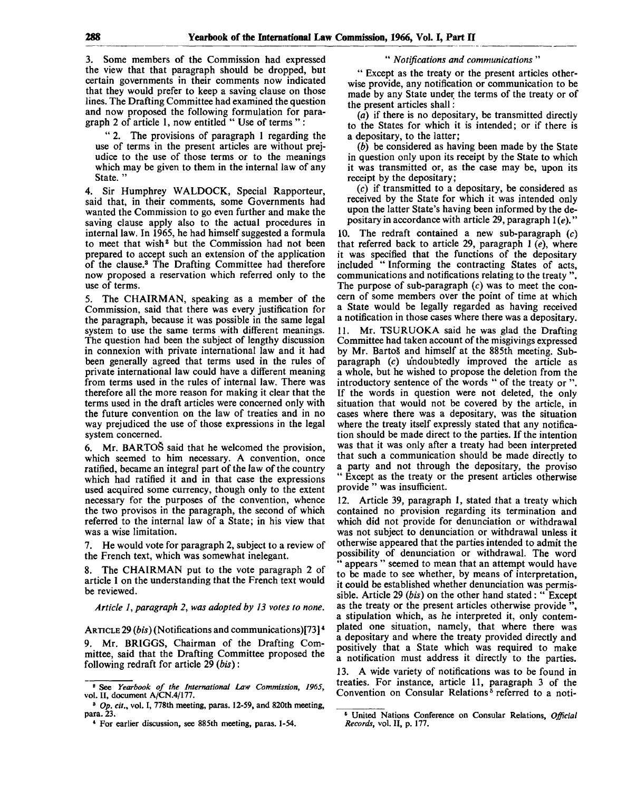3. Some members of the Commission had expressed the view that that paragraph should be dropped, but certain governments in their comments now indicated that they would prefer to keep a saving clause on those lines. The Drafting Committee had examined the question and now proposed the following formulation for paragraph 2 of article 1, now entitled " Use of terms " :

" 2. The provisions of paragraph 1 regarding the use of terms in the present articles are without prejudice to the use of those terms or to the meanings which may be given to them in the internal law of any State. "

4. Sir Humphrey WALDOCK, Special Rapporteur, said that, in their comments, some Governments had wanted the Commission to go even further and make the saving clause apply also to the actual procedures in internal law. In 1965, he had himself suggested a formula to meet that wish<sup>2</sup> but the Commission had not been prepared to accept such an extension of the application of the clause.<sup>3</sup> The Drafting Committee had therefore now proposed a reservation which referred only to the use of terms.

5. The CHAIRMAN, speaking as a member of the Commission, said that there was every justification for the paragraph, because it was possible in the same legal system to use the same terms with different meanings. The question had been the subject of lengthy discussion in connexion with private international law and it had been generally agreed that terms used in the rules of private international law could have a different meaning from terms used in the rules of internal law. There was therefore all the more reason for making it clear that the terms used in the draft articles were concerned only with the future convention on the law of treaties and in no way prejudiced the use of those expressions in the legal system concerned.

6. Mr. BARTOŠ said that he welcomed the provision, which seemed to him necessary. A convention, once ratified, became an integral part of the law of the country which had ratified it and in that case the expressions used acquired some currency, though only to the extent necessary for the purposes of the convention, whence the two provisos in the paragraph, the second of which referred to the internal law of a State; in his view that was a wise limitation.

7. He would vote for paragraph 2, subject to a review of the French text, which was somewhat inelegant.

8. The CHAIRMAN put to the vote paragraph 2 of article 1 on the understanding that the French text would be reviewed.

*Article 1, paragraph 2, was adopted by 13 votes to none.*

ARTICLE 29 *(bis)* (Notifications and communications)[73]<sup>4</sup> 9. Mr. BRIGGS, Chairman of the Drafting Committee, said that the Drafting Committee proposed the following redraft for article 29 *(bis)*:

#### " *Notifications and communications* "

" Except as the treaty or the present articles otherwise provide, any notification or communication to be made by any State under the terms of the treaty or of the present articles shall:

*(a)* if there is no depositary, be transmitted directly to the States for which it is intended; or if there is a depositary, to the latter;

*(b)* be considered as having been made by the State in question only upon its receipt by the State to which it was transmitted or, as the case may be, upon its receipt by the depositary;

*(c)* if transmitted to a depositary, be considered as received by the State for which it was intended only upon the latter State's having been informed by the depositary in accordance with article 29, paragraph 1 *(e).*"

10. The redraft contained a new sub-paragraph  $(c)$ that referred back to article 29, paragraph 1 *(e),* where it was specified that the functions of the depositary included " Informing the contracting States of acts, communications and notifications relating to the treaty ". The purpose of sub-paragraph *(c)* was to meet the concern of some members over the point of time at which a State would be legally regarded as having received a notification in those cases where there was a depositary.

11. Mr. TSURUOKA said he was glad the Drafting Committee had taken account of the misgivings expressed by Mr. Bartos" and himself at the 885th meeting. Subparagraph *(c)* undoubtedly improved the article as a whole, but he wished to propose the deletion from the introductory sentence of the words " of the treaty or ". If the words in question were not deleted, the only situation that would not be covered by the article, in cases where there was a depositary, was the situation where the treaty itself expressly stated that any notification should be made direct to the parties. If the intention was that it was only after a treaty had been interpreted that such a communication should be made directly to a party and not through the depositary, the proviso " Except as the treaty or the present articles otherwise provide " was insufficient.

12. Article 39, paragraph 1, stated that a treaty which contained no provision regarding its termination and which did not provide for denunciation or withdrawal was not subject to denunciation or withdrawal unless it otherwise appeared that the parties intended to admit the possibility of denunciation or withdrawal. The word appears " seemed to mean that an attempt would have to be made to see whether, by means of interpretation, it could be established whether denunciation was permissible. Article 29 *(bis)* on the other hand stated: " Except as the treaty or the present articles otherwise provide<sup>3</sup> a stipulation which, as he interpreted it, only contemplated one situation, namely, that where there was a depositary and where the treaty provided directly and positively that a State which was required to make a notification must address it directly to the parties. 13. A wide variety of notifications was to be found in

treaties. For instance, article 11, paragraph 3 of the Convention on Consular Relations<sup>5</sup> referred to a noti-

<sup>8</sup> See *Yearbook of the International Law Commission, 1965,* vol. II, document A/CN.4/177.

<sup>&</sup>lt;sup>8</sup> Op. cit., vol. I, 778th meeting, paras. 12-59, and 820th meeting, para. 23.

<sup>\*</sup> For earlier discussion, see 885th meeting, paras. 1-54.

<sup>6</sup> United Nations Conference on Consular Relations, *Official Records,* vol. II, p. 177.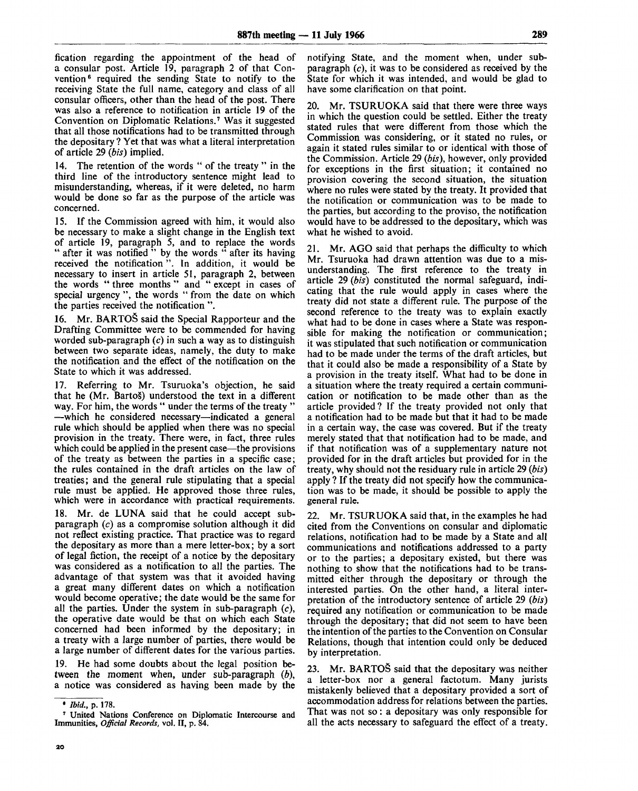fication regarding the appointment of the head of a consular post. Article 19, paragraph 2 of that Convention<sup>6</sup> required the sending State to notify to the receiving State the full name, category and class of all consular officers, other than the head of the post. There was also a reference to notification in article 19 of the Convention on Diplomatic Relations.<sup>7</sup> Was it suggested that all those notifications had to be transmitted through the depositary ? Yet that was what a literal interpretation of article 29 *(bis)* implied.

14. The retention of the words " of the treaty " in the third line of the introductory sentence might lead to misunderstanding, whereas, if it were deleted, no harm would be done so far as the purpose of the article was concerned.

15. If the Commission agreed with him, it would also be necessary to make a slight change in the English text of article 19, paragraph 5, and to replace the words " after it was notified " by the words " after its having received the notification". In addition, it would be necessary to insert in article 51, paragraph 2, between the words " three months " and " except in cases of special urgency ", the words " from the date on which the parties received the notification ".

16. Mr. BARTOS said the Special Rapporteur and the Drafting Committee were to be commended for having worded sub-paragraph *(c)* in such a way as to distinguish between two separate ideas, namely, the duty to make the notification and the effect of the notification on the State to which it was addressed.

17. Referring to Mr. Tsuruoka's objection, he said that he (Mr. BartoS) understood the text in a different way. For him, the words " under the terms of the treaty " —which he considered necessary—indicated a general rule which should be applied when there was no special provision in the treaty. There were, in fact, three rules which could be applied in the present case—the provisions of the treaty as between the parties in a specific case; the rules contained in the draft articles on the law of treaties; and the general rule stipulating that a special rule must be applied. He approved those three rules, which were in accordance with practical requirements.

18. Mr. de LUNA said that he could accept subparagraph *(c)* as a compromise solution although it did not reflect existing practice. That practice was to regard the depositary as more than a mere letter-box; by a sort of legal fiction, the receipt of a notice by the depositary was considered as a notification to all the parties. The advantage of that system was that it avoided having a great many different dates on which a notification would become operative; the date would be the same for all the parties. Under the system in sub-paragraph *(c),* the operative date would be that on which each State concerned had been informed by the depositary; in a treaty with a large number of parties, there would be a large number of different dates for the various parties.

19. He had some doubts about the legal position between the moment when, under sub-paragraph *(b),* a notice was considered as having been made by the notifying State, and the moment when, under subparagraph *(c),* it was to be considered as received by the State for which it was intended, and would be glad to have some clarification on that point.

20. Mr. TSURUOKA said that there were three ways in which the question could be settled. Either the treaty stated rules that were different from those which the Commission was considering, or it stated no rules, or again it stated rules similar to or identical with those of the Commission. Article 29 *(bis),* however, only provided for exceptions in the first situation; it contained no provision covering the second situation, the situation where no rules were stated by the treaty. It provided that the notification or communication was to be made to the parties, but according to the proviso, the notification would have to be addressed to the depositary, which was what he wished to avoid.

21. Mr. AGO said that perhaps the difficulty to which Mr. Tsuruoka had drawn attention was due to a misunderstanding. The first reference to the treaty in article 29 *(bis)* constituted the normal safeguard, indicating that the rule would apply in cases where the treaty did not state a different rule. The purpose of the second reference to the treaty was to explain exactly what had to be done in cases where a State was responsible for making the notification or communication; it was stipulated that such notification or communication had to be made under the terms of the draft articles, but that it could also be made a responsibility of a State by a provision in the treaty itself. What had to be done in a situation where the treaty required a certain communication or notification to be made other than as the article provided ? If the treaty provided not only that a notification had to be made but that it had to be made in a certain way, the case was covered. But if the treaty merely stated that that notification had to be made, and if that notification was of a supplementary nature not provided for in the draft articles but provided for in the treaty, why should not the residuary rule in article 29 *(bis)* apply ? If the treaty did not specify how the communication was to be made, it should be possible to apply the general rule.

22. Mr. TSURUOKA said that, in the examples he had cited from the Conventions on consular and diplomatic relations, notification had to be made by a State and all communications and notifications addressed to a party or to the parties; a depositary existed, but there was nothing to show that the notifications had to be transmitted either through the depositary or through the interested parties. On the other hand, a literal interpretation of the introductory sentence of article 29 *(bis)* required any notification or communication to be made through the depositary; that did not seem to have been the intention of the parties to the Convention on Consular Relations, though that intention could only be deduced by interpretation.

23. Mr. BARTOS said that the depositary was neither a letter-box nor a general factotum. Many jurists mistakenly believed that a depositary provided a sort of accommodation address for relations between the parties. That was not so: a depositary was only responsible for all the acts necessary to safeguard the effect of a treaty.

 $20$ 

<sup>•</sup> *Ibid.,* p. 178.

<sup>7</sup> United Nations Conference on Diplomatic Intercourse and Immunities, *Official Records,* vol. II, p. 84.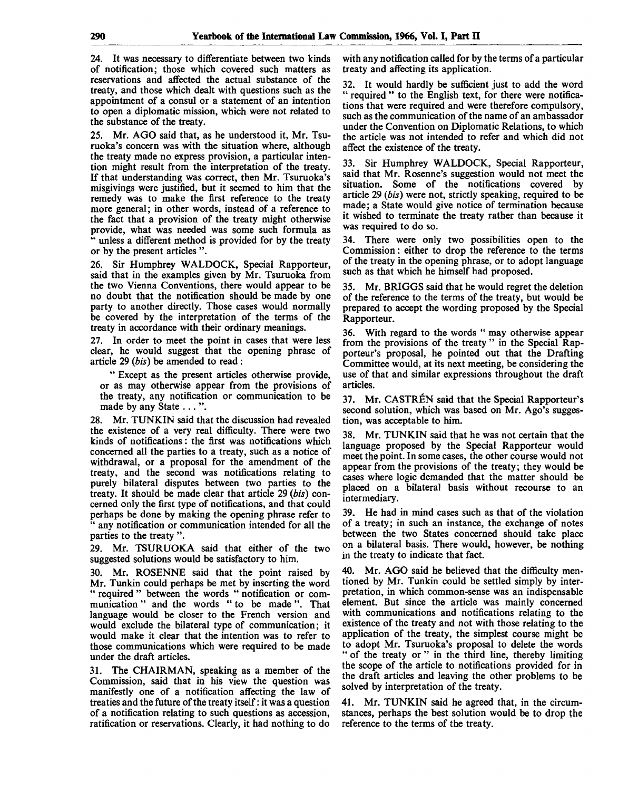24. It was necessary to differentiate between two kinds of notification; those which covered such matters as reservations and affected the actual substance of the treaty, and those which dealt with questions such as the appointment of a consul or a statement of an intention to open a diplomatic mission, which were not related to the substance of the treaty.

25. Mr. AGO said that, as he understood it, Mr. Tsuruoka's concern was with the situation where, although the treaty made no express provision, a particular intention might result from the interpretation of the treaty. If that understanding was correct, then Mr. Tsuruoka's misgivings were justified, but it seemed to him that the remedy was to make the first reference to the treaty more general; in other words, instead of a reference to the fact that a provision of the treaty might otherwise provide, what was needed was some such formula as " unless a different method is provided for by the treaty or by the present articles ".

26. Sir Humphrey WALDOCK, Special Rapporteur, said that in the examples given by Mr. Tsuruoka from the two Vienna Conventions, there would appear to be no doubt that the notification should be made by one party to another directly. Those cases would normally be covered by the interpretation of the terms of the treaty in accordance with their ordinary meanings.

27. In order to meet the point in cases that were less clear, he would suggest that the opening phrase of article 29 *(bis)* be amended to read:

" Except as the present articles otherwise provide, or as may otherwise appear from the provisions of the treaty, any notification or communication to be made by any State . . . ".

28. Mr. TUNKIN said that the discussion had revealed the existence of a very real difficulty. There were two kinds of notifications: the first was notifications which concerned all the parties to a treaty, such as a notice of withdrawal, or a proposal for the amendment of the treaty, and the second was notifications relating to purely bilateral disputes between two parties to the treaty. It should be made clear that article 29 *(bis)* concerned only the first type of notifications, and that could perhaps be done by making the opening phrase refer to " any notification or communication intended for all the parties to the treaty ".

29. Mr. TSURUOKA said that either of the two suggested solutions would be satisfactory to him.

30. Mr. ROSENNE said that the point raised by Mr. Tunkin could perhaps be met by inserting the word " required " between the words " notification or communication " and the words " to be made". That language would be closer to the French version and would exclude the bilateral type of communication; it would make it clear that the intention was to refer to those communications which were required to be made under the draft articles.

31. The CHAIRMAN, speaking as a member of the Commission, said that in his view the question was manifestly one of a notification affecting the law of treaties and the future of the treaty itself: it was a question of a notification relating to such questions as accession, ratification or reservations. Clearly, it had nothing to do

with any notification called for by the terms of a particular treaty and affecting its application.

32. It would hardly be sufficient just to add the word " required " to the English text, for there were notifications that were required and were therefore compulsory, such as the communication of the name of an ambassador under the Convention on Diplomatic Relations, to which the article was not intended to refer and which did not affect the existence of the treaty.

33. Sir Humphrey WALDOCK, Special Rapporteur, said that Mr. Rosenne's suggestion would not meet the situation. Some of the notifications covered by article 29 *(bis)* were not, strictly speaking, required to be made; a State would give notice of termination because it wished to terminate the treaty rather than because it was required to do so.

34. There were only two possibilities open to the Commission: either to drop the reference to the terms of the treaty in the opening phrase, or to adopt language such as that which he himself had proposed.

35. Mr. BRIGGS said that he would regret the deletion of the reference to the terms of the treaty, but would be prepared to accept the wording proposed by the Special Rapporteur.

36. With regard to the words " may otherwise appear from the provisions of the treaty " in the Special Rapporteur's proposal, he pointed out that the Drafting Committee would, at its next meeting, be considering the use of that and similar expressions throughout the draft articles.

37. Mr. CASTR£N said that the Special Rapporteur's second solution, which was based on Mr. Ago's suggestion, was acceptable to him.

38. Mr. TUNKIN said that he was not certain that the language proposed by the Special Rapporteur would meet the point. In some cases, the other course would not appear from the provisions of the treaty; they would be cases where logic demanded that the matter should be placed on a bilateral basis without recourse to an intermediary.

39. He had in mind cases such as that of the violation of a treaty; in such an instance, the exchange of notes between the two States concerned should take place on a bilateral basis. There would, however, be nothing in the treaty to indicate that fact.

40. Mr. AGO said he believed that the difficulty mentioned by Mr. Tunkin could be settled simply by interpretation, in which common-sense was an indispensable element. But since the article was mainly concerned with communications and notifications relating to the existence of the treaty and not with those relating to the application of the treaty, the simplest course might be to adopt Mr. Tsuruoka's proposal to delete the words " of the treaty or " in the third line, thereby limiting the scope of the article to notifications provided for in the draft articles and leaving the other problems to be solved by interpretation of the treaty.

41. Mr. TUNKIN said he agreed that, in the circumstances, perhaps the best solution would be to drop the reference to the terms of the treaty.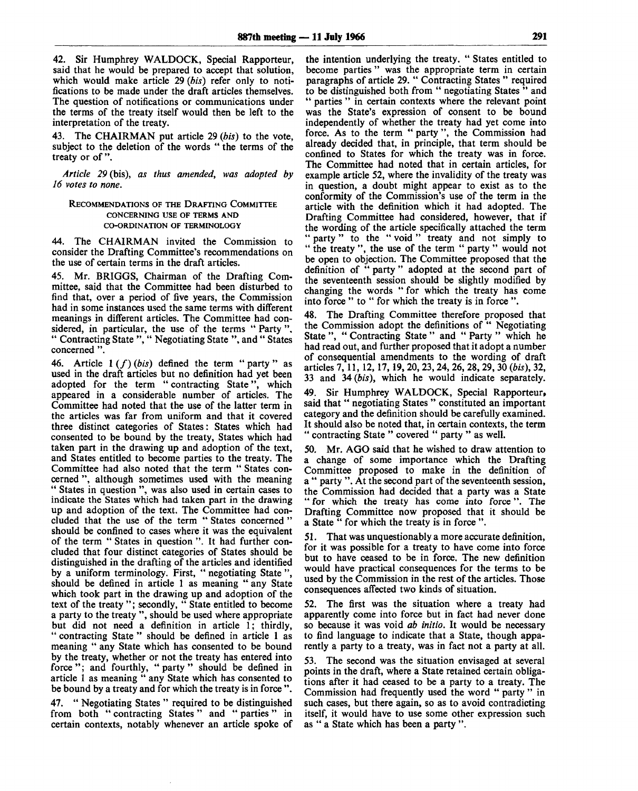42. Sir Humphrey WALDOCK, Special Rapporteur, said that he would be prepared to accept that solution, which would make article 29 *(bis)* refer only to notifications to be made under the draft articles themselves. The question of notifications or communications under the terms of the treaty itself would then be left to the interpretation of the treaty.

43. The CHAIRMAN put article 29 *(bis)* to the vote, subject to the deletion of the words " the terms of the treaty or of ".

*Article 29* (bis), *as thus amended, was adopted by 16 votes to none.*

#### RECOMMENDATIONS OF THE DRAFTING COMMITTEE CONCERNING USE OF TERMS AND CO-ORDINATION OF TERMINOLOGY

44. The CHAIRMAN invited the Commission to consider the Drafting Committee's recommendations on the use of certain terms in the draft articles.

45. Mr. BRIGGS, Chairman of the Drafting Committee, said that the Committee had been disturbed to find that, over a period of five years, the Commission had in some instances used the same terms with different meanings in different articles. The Committee had considered, in particular, the use of the terms " Party ", " Contracting State ", " Negotiating State ", and " States concerned ".

46. Article  $1(f)(bis)$  defined the term " party " as used in the draft articles but no definition had yet been adopted for the term "contracting State", which adopted for the term " contracting State" appeared in a considerable number of articles. The Committee had noted that the use of the latter term in the articles was far from uniform and that it covered three distinct categories of States: States which had consented to be bound by the treaty, States which had taken part in the drawing up and adoption of the text, and States entitled to become parties to the treaty. The Committee had also noted that the term " States concerned ", although sometimes used with the meaning " States in question ", was also used in certain cases to indicate the States which had taken part in the drawing up and adoption of the text. The Committee had concluded that the use of the term " States concerned " should be confined to cases where it was the equivalent of the term " States in question ". It had further concluded that four distinct categories of States should be distinguished in the drafting of the articles and identified by a uniform terminology. First, " negotiating State ", should be defined in article 1 as meaning " any State which took part in the drawing up and adoption of the text of the treaty "; secondly, " State entitled to become a party to the treaty ", should be used where appropriate but did not need a definition in article 1; thirdly, " contracting State " should be defined in article 1 as meaning " any State which has consented to be bound by the treaty, whether or not the treaty has entered into force"; and fourthly, "party" should be defined in article 1 as meaning " any State which has consented to be bound by a treaty and for which the treaty is in force ".

47. " Negotiating States " required to be distinguished from both "contracting States" and "parties" in certain contexts, notably whenever an article spoke of

the intention underlying the treaty. " States entitled to become parties " was the appropriate term in certain paragraphs of article 29. " Contracting States " required to be distinguished both from " negotiating States " and parties " in certain contexts where the relevant point was the State's expression of consent to be bound independently of whether the treaty had yet come into force. As to the term " party ", the Commission had already decided that, in principle, that term should be confined to States for which the treaty was in force. The Committee had noted that in certain articles, for example article 52, where the invalidity of the treaty was in question, a doubt might appear to exist as to the conformity of the Commission's use of the term in the article with the definition which it had adopted. The Drafting Committee had considered, however, that if the wording of the article specifically attached the term " party" to the "void" treaty and not simply to " the treaty ", the use of the term " party " would not be open to objection. The Committee proposed that the definition of " party " adopted at the second part of the seventeenth session should be slightly modified by changing the words " for which the treaty has come into force " to " for which the treaty is in force ".

48. The Drafting Committee therefore proposed that the Commission adopt the definitions of " Negotiating State ", " Contracting State " and " Party " which he had read out, and further proposed that it adopt a number of consequential amendments to the wording of draft articles 7, 11, 12, 17, 19, 20, 23, 24, 26, 28, 29, 30 *(bis),* 32, 33 and 34 *(bis),* which he would indicate separately.

49. Sir Humphrey WALDOCK, Special Rapporteur, said that " negotiating States " constituted an important category and the definition should be carefully examined. It should also be noted that, in certain contexts, the term " contracting State " covered " party " as well.

50. Mr. AGO said that he wished to draw attention to a change of some importance which the Drafting Committee proposed to make in the definition of a " party ". At the second part of the seventeenth session, the Commission had decided that a party was a State " for which the treaty has come into force". The Drafting Committee now proposed that it should be a State " for which the treaty is in force".

51. That was unquestionably a more accurate definition, for it was possible for a treaty to have come into force but to have ceased to be in force. The new definition would have practical consequences for the terms to be used by the Commission in the rest of the articles. Those consequences affected two kinds of situation.

52. The first was the situation where a treaty had apparently come into force but in fact had never done so because it was void *ab initio.* It would be necessary to find language to indicate that a State, though apparently a party to a treaty, was in fact not a party at all.

53. The second was the situation envisaged at several points in the draft, where a State retained certain obligations after it had ceased to be a party to a treaty. The Commission had frequently used the word " party " in such cases, but there again, so as to avoid contradicting itself, it would have to use some other expression such as " a State which has been a party ".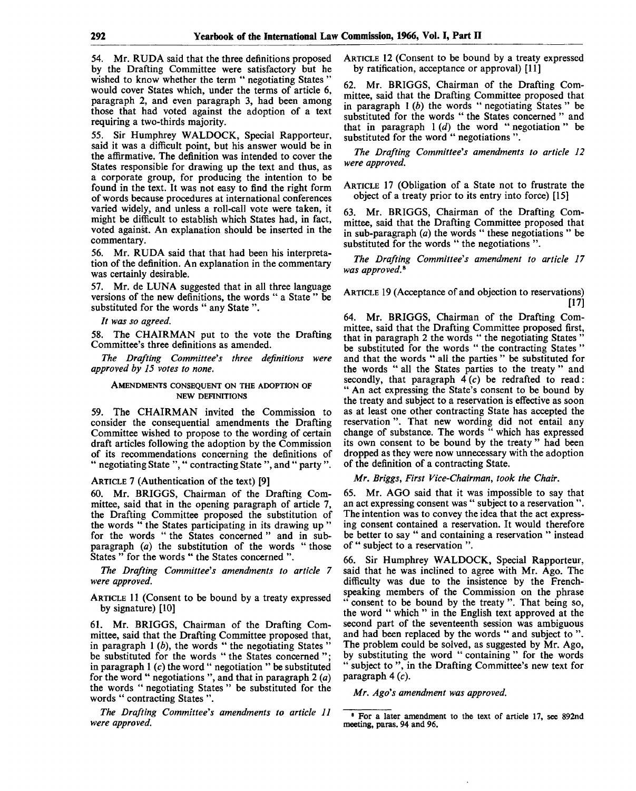54. Mr. RUDA said that the three definitions proposed by the Drafting Committee were satisfactory but he wished to know whether the term " negotiating States " would cover States which, under the terms of article 6, paragraph 2, and even paragraph 3, had been among those that had voted against the adoption of a text requiring a two-thirds majority.

55. Sir Humphrey WALDOCK, Special Rapporteur, said it was a difficult point, but his answer would be in the affirmative. The definition was intended to cover the States responsible for drawing up the text and thus, as a corporate group, for producing the intention to be found in the text. It was not easy to find the right form of words because procedures at international conferences varied widely, and unless a roll-call vote were taken, it might be difficult to establish which States had, in fact, voted against. An explanation should be inserted in the commentary.

56. Mr. RUDA said that that had been his interpretation of the definition. An explanation in the commentary was certainly desirable.

57. Mr. de LUNA suggested that in all three language versions of the new definitions, the words " a State " be substituted for the words " any State ".

*It was so agreed.*

58. The CHAIRMAN put to the vote the Drafting Committee's three definitions as amended.

*The Drafting Committee's three definitions were approved by 15 votes to none.*

#### AMENDMENTS CONSEQUENT ON THE ADOPTION OF NEW DEFINITIONS

59. The CHAIRMAN invited the Commission to consider the consequential amendments the Drafting Committee wished to propose to the wording of certain draft articles following the adoption by the Commission of its recommendations concerning the definitions of " negotiating State ", " contracting State ", and " party ".

#### ARTICLE 7 (Authentication of the text) [9]

60. Mr. BRIGGS, Chairman of the Drafting Committee, said that in the opening paragraph of article 7, the Drafting Committee proposed the substitution of the words " the States participating in its drawing up " for the words " the States concerned" and in subparagraph *(a)* the substitution of the words " those States " for the words " the States concerned ".

*The Drafting Committee's amendments to article 7 were approved.*

ARTICLE 11 (Consent to be bound by a treaty expressed by signature) [10]

61. Mr. BRIGGS, Chairman of the Drafting Committee, said that the Drafting Committee proposed that, in paragraph 1 *(b),* the words " the negotiating States " be substituted for the words " the States concerned "; in paragraph  $1(c)$  the word " negotiation " be substituted for the word " negotiations ", and that in paragraph 2 *(a)* the words " negotiating States " be substituted for the words " contracting States ".

*The Drafting Committee's amendments to article 11 were approved.*

ARTICLE 12 (Consent to be bound by a treaty expressed by ratification, acceptance or approval) [11]

62. Mr. BRIGGS, Chairman of the Drafting Committee, said that the Drafting Committee proposed that in paragraph 1 *(b)* the words " negotiating States " be substituted for the words " the States concerned " and that in paragraph  $1(d)$  the word " negotiation" be substituted for the word " negotiations ".

*The Drafting Committee's amendments to article 12 were approved.*

ARTICLE 17 (Obligation of a State not to frustrate the object of a treaty prior to its entry into force) [15]

63. Mr. BRIGGS, Chairman of the Drafting Committee, said that the Drafting Committee proposed that in sub-paragraph *(a)* the words " these negotiations " be substituted for the words " the negotiations".

*The Drafting Committee's amendment to article 17 was approved.\**

ARTICLE 19 (Acceptance of and objection to reservations) [17]

64. Mr. BRIGGS, Chairman of the Drafting Committee, said that the Drafting Committee proposed first, mittee, said that the Draining Committee Proposes that in paragraph 2 the words " the negotiating States be substituted for the words " the contracting States" and that the words " all the parties " be substituted for the words " all the States parties to the treaty " and secondly, that paragraph  $\overline{4}(c)$  be redrafted to read: " An act expressing the State's consent to be bound by the treaty and subject to a reservation is effective as soon as at least one other contracting State has accepted the reservation ". That new wording did not entail any change of substance. The words " which has expressed its own consent to be bound by the treaty " had been dropped as they were now unnecessary with the adoption of the definition of a contracting State.

*Mr. Briggs, First Vice-Chairman, took the Chair.*

65. Mr. AGO said that it was impossible to say that an act expressing consent was " subject to a reservation ". The intention was to convey the idea that the act expressing consent contained a reservation. It would therefore be better to say " and containing a reservation " instead of " subject to a reservation ".

66. Sir Humphrey WALDOCK, Special Rapporteur, said that he was inclined to agree with Mr. Ago. The difficulty was due to the insistence by the Frenchspeaking members of the Commission on the phrase consent to be bound by the treaty". That being so, the word " which " in the English text approved at the second part of the seventeenth session was ambiguous and had been replaced by the words " and subject to ". The problem could be solved, as suggested by Mr. Ago, by substituting the word " containing " for the words subject to", in the Drafting Committee's new text for paragraph  $4(c)$ .

*Mr. Ago's amendment was approved.*

<sup>&</sup>lt;sup>8</sup> For a later amendment to the text of article 17, see 892nd meeting, paras. 94 and 96.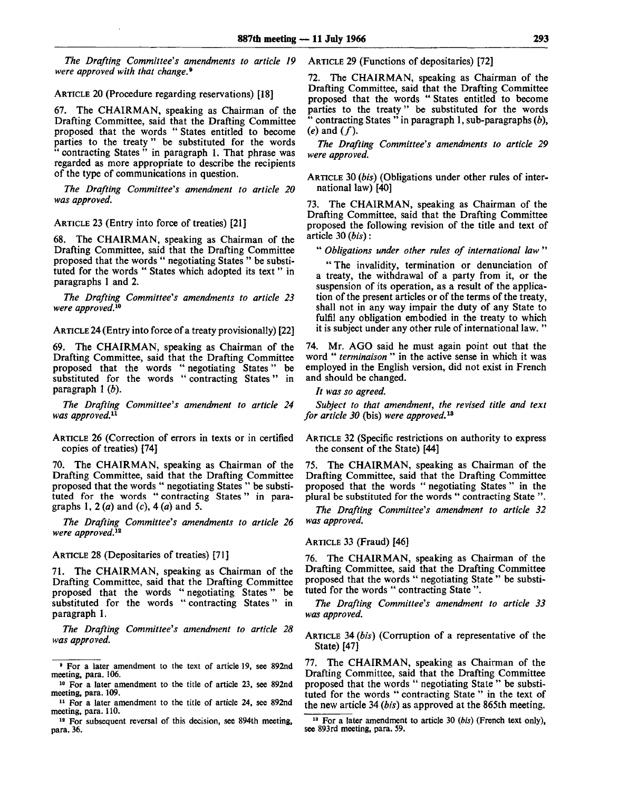*The Drafting Committee's amendments to article 19 were approved with that change.<sup>9</sup>*

ARTICLE 20 (Procedure regarding reservations) [18]

67. The CHAIRMAN, speaking as Chairman of the Drafting Committee, said that the Drafting Committee proposed that the words " States entitled to become parties to the treaty" be substituted for the words " contracting States " in paragraph 1. That phrase was regarded as more appropriate to describe the recipients of the type of communications in question.

*The Drafting Committee's amendment to article 20 was approved.*

ARTICLE 23 (Entry into force of treaties) [21]

68. The CHAIRMAN, speaking as Chairman of the Drafting Committee, said that the Drafting Committee proposed that the words " negotiating States " be substituted for the words " States which adopted its text " in paragraphs 1 and 2.

*The Drafting Committee's amendments to article 23 were approved.<sup>10</sup>*

ARTICLE 24 (Entry into force of a treaty provisionally) [22]

69. The CHAIRMAN, speaking as Chairman of the Drafting Committee, said that the Drafting Committee proposed that the words " negotiating States" be substituted for the words "contracting States" in paragraph 1 *(b).*

*The Drafting Committee's amendment to article 24 was approved.<sup>11</sup>*

ARTICLE 26 (Correction of errors in texts or in certified copies of treaties) [74]

70. The CHAIRMAN, speaking as Chairman of the Drafting Committee, said that the Drafting Committee proposed that the words " negotiating States " be substituted for the words " contracting States" in paragraphs 1, 2 (a) and *(c),* 4 *(a)* and 5.

*The Drafting Committee's amendments to article 26 were approved.<sup>12</sup>*

ARTICLE 28 (Depositaries of treaties) [71]

71. The CHAIRMAN, speaking as Chairman of the Drafting Committee, said that the Drafting Committee proposed that the words " negotiating States" be substituted for the words " contracting States" in paragraph 1.

*The Drafting Committee's amendment to article 28 was approved.*

ARTICLE 29 (Functions of depositaries) [72]

72. The CHAIRMAN, speaking as Chairman of the Drafting Committee, said that the Drafting Committee proposed that the words " States entitled to become parties to the treaty" be substituted for the words " contracting States " in paragraph 1, sub-paragraphs *(b),*  $(e)$  and  $(f)$ .

*The Drafting Committee's amendments to article 29 were approved.*

ARTICLE 30 *(bis)* (Obligations under other rules of international law) [40]

73. The CHAIRMAN, speaking as Chairman of the Drafting Committee, said that the Drafting Committee proposed the following revision of the title and text of article 30 *(bis):*

" *Obligations under other rules of international law "*

" The invalidity, termination or denunciation of a treaty, the withdrawal of a party from it, or the suspension of its operation, as a result of the application of the present articles or of the terms of the treaty, shall not in any way impair the duty of any State to fulfil any obligation embodied in the treaty to which it is subject under any other rule of international law. "

74. Mr. AGO said he must again point out that the word " *terminaison "* in the active sense in which it was employed in the English version, did not exist in French and should be changed.

*It was so agreed.*

*Subject to that amendment, the revised title and text for article 30* (bis) *were approved.<sup>13</sup>*

ARTICLE 32 (Specific restrictions on authority to express the consent of the State) [44]

75. The CHAIRMAN, speaking as Chairman of the Drafting Committee, said that the Drafting Committee proposed that the words " negotiating States " in the plural be substituted for the words " contracting State ".

*The Drafting Committee's amendment to article 32 was approved.*

ARTICLE 33 (Fraud) [46]

76. The CHAIRMAN, speaking as Chairman of the Drafting Committee, said that the Drafting Committee proposed that the words " negotiating State " be substituted for the words " contracting State ".

*The Drafting Committee's amendment to article 33 was approved.*

ARTICLE 34 *(bis)* (Corruption of a representative of the State) [47]

77. The CHAIRMAN, speaking as Chairman of the Drafting Committee, said that the Drafting Committee proposed that the words " negotiating State " be substituted for the words " contracting State " in the text of the new article 34 *(bis)* as approved at the 865th meeting.

<sup>&</sup>lt;sup>9</sup> For a later amendment to the text of article 19, see 892nd meeting, para. 106.

<sup>&</sup>lt;sup>10</sup> For a later amendment to the title of article 23, see 892nd meeting, para. 109.

<sup>&</sup>lt;sup>11</sup> For a later amendment to the title of article 24, see 892nd meeting, para. 110.

<sup>&</sup>lt;sup>12</sup> For subsequent reversal of this decision, see 894th meeting, para. 36.

<sup>&</sup>lt;sup>13</sup> For a later amendment to article 30 *(bis)* (French text only), see 893rd meeting, para. 59.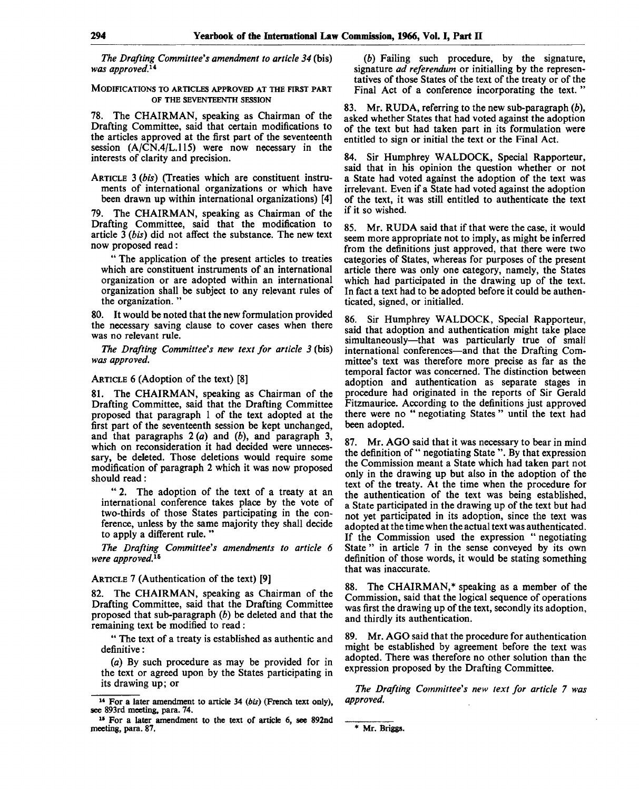*The Drafting Committee's amendment to article 34* (bis) was approved.<sup>14</sup>

MODIFICATIONS TO ARTICLES APPROVED AT THE FIRST PART OF THE SEVENTEENTH SESSION

78. The CHAIRMAN, speaking as Chairman of the Drafting Committee, said that certain modifications to the articles approved at the first part of the seventeenth session (A/CN.4/L.115) were now necessary in the interests of clarity and precision.

ARTICLE 3 *(bis)* (Treaties which are constituent instruments of international organizations or which have been drawn up within international organizations) [4]

79. The CHAIRMAN, speaking as Chairman of the Drafting Committee, said that the modification to article 3 *(bis)* did not affect the substance. The new text now proposed read:

" The application of the present articles to treaties which are constituent instruments of an international organization or are adopted within an international organization shall be subject to any relevant rules of the organization. "

80. It would be noted that the new formulation provided the necessary saving clause to cover cases when there was no relevant rule.

*The Drafting Committee's new text for article 3* (bis) *was approved.*

#### ARTICLE 6 (Adoption of the text) [8]

81. The CHAIRMAN, speaking as Chairman of the Drafting Committee, said that the Drafting Committee proposed that paragraph 1 of the text adopted at the first part of the seventeenth session be kept unchanged, and that paragraphs 2 *(a)* and *(b),* and paragraph 3, which on reconsideration it had decided were unnecessary, be deleted. Those deletions would require some modification of paragraph 2 which it was now proposed should read:

" 2. The adoption of the text of a treaty at an international conference takes place by the vote of two-thirds of those States participating in the conference, unless by the same majority they shall decide to apply a different rule. "

*The Drafting Committee's amendments to article 6 were approved.™*

#### ARTICLE 7 (Authentication of the text) [9]

82. The CHAIRMAN, speaking as Chairman of the Drafting Committee, said that the Drafting Committee proposed that sub-paragraph *(b)* be deleted and that the remaining text be modified to read:

" The text of a treaty is established as authentic and definitive:

*(a)* By such procedure as may be provided for in the text or agreed upon by the States participating in its drawing up; or

*(b)* Failing such procedure, by the signature, signature *ad referendum* or initialling by the representatives of those States of the text of the treaty or of the Final Act of a conference incorporating the text. '

83. Mr. RUDA, referring to the new sub-paragraph *(b),* asked whether States that had voted against the adoption of the text but had taken part in its formulation were entitled to sign or initial the text or the Final Act.

84. Sir Humphrey WALDOCK, Special Rapporteur, said that in his opinion the question whether or not a State had voted against the adoption of the text was irrelevant. Even if a State had voted against the adoption of the text, it was still entitled to authenticate the text if it so wished.

85. Mr. RUDA said that if that were the case, it would seem more appropriate not to imply, as might be inferred from the definitions just approved, that there were two categories of States, whereas for purposes of the present article there was only one category, namely, the States which had participated in the drawing up of the text. In fact a text had to be adopted before it could be authenticated, signed, or initialled.

86. Sir Humphrey WALDOCK, Special Rapporteur, said that adoption and authentication might take place simultaneously—that was particularly true of small international conferences—and that the Drafting Committee's text was therefore more precise as far as the temporal factor was concerned. The distinction between adoption and authentication as separate stages in procedure had originated in the reports of Sir Gerald Fitzmaurice. According to the definitions just approved there were no " negotiating States " until the text had been adopted.

87. Mr. AGO said that it was necessary to bear in mind the definition of " negotiating State ". By that expression the Commission meant a State which had taken part not only in the drawing up but also in the adoption of the text of the treaty. At the time when the procedure for the authentication of the text was being established, a State participated in the drawing up of the text but had not yet participated in its adoption, since the text was adopted at the time when the actual text was authenticated. If the Commission used the expression " negotiating State " in article 7 in the sense conveyed by its own definition of those words, it would be stating something that was inaccurate.

88. The CHAIRMAN,\* speaking as a member of the Commission, said that the logical sequence of operations was first the drawing up of the text, secondly its adoption, and thirdly its authentication.

89. Mr. AGO said that the procedure for authentication might be established by agreement before the text was adopted. There was therefore no other solution than the expression proposed by the Drafting Committee.

*The Drafting Committee's new text for article 7 was approved.*

\* Mr. Briggs.

<sup>14</sup> For a later amendment to article 34 *{bis)* (French text only), see 893rd meeting, para. 74.

<sup>&</sup>lt;sup>15</sup> For a later amendment to the text of article 6, see 892nd meeting, para. 87.